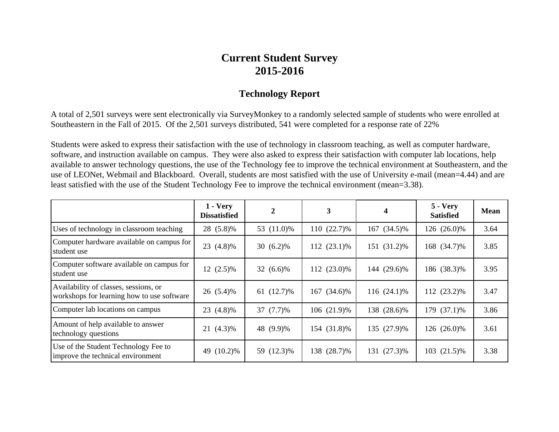## **Current Student Survey 2015-2016**

## **Technology Report**

A total of 2,501 surveys were sent electronically via SurveyMonkey to a randomly selected sample of students who were enrolled at Southeastern in the Fall of 2015. Of the 2,501 surveys distributed, 541 were completed for a response rate of 22%

Students were asked to express their satisfaction with the use of technology in classroom teaching, as well as computer hardware, software, and instruction available on campus. They were also asked to express their satisfaction with computer lab locations, help available to answer technology questions, the use of the Technology fee to improve the technical environment at Southeastern, and the use of LEONet, Webmail and Blackboard. Overall, students are most satisfied with the use of University e-mail (mean=4.44) and are least satisfied with the use of the Student Technology Fee to improve the technical environment (mean=3.38).

|                                                                                     | $1 - V$ ery<br>Dissatisfied | 2            | 3           | 4           | $5 - Very$<br><b>Satisfied</b> | <b>Mean</b> |
|-------------------------------------------------------------------------------------|-----------------------------|--------------|-------------|-------------|--------------------------------|-------------|
| Uses of technology in classroom teaching                                            | 28 (5.8)%                   | 53 (11.0)%   | 110 (22.7)% | 167 (34.5)% | 126 (26.0)%                    | 3.64        |
| Computer hardware available on campus for<br>student use                            | 23 (4.8)%                   | 30 $(6.2)\%$ | 112 (23.1)% | 151 (31.2)% | 168 (34.7)%                    | 3.85        |
| Computer software available on campus for<br>student use                            | $12(2.5)\%$                 | 32 (6.6)%    | 112 (23.0)% | 144 (29.6)% | 186 (38.3)%                    | 3.95        |
| Availability of classes, sessions, or<br>workshops for learning how to use software | 26 (5.4)%                   | 61 (12.7)%   | 167 (34.6)% | 116 (24.1)% | 112 (23.2)%                    | 3.47        |
| Computer lab locations on campus                                                    | 23 (4.8)%                   | 37 (7.7)%    | 106 (21.9)% | 138 (28.6)% | 179 (37.1)%                    | 3.86        |
| Amount of help available to answer<br>technology questions                          | 21 (4.3)%                   | 48 (9.9)%    | 154 (31.8)% | 135 (27.9)% | 126 (26.0)%                    | 3.61        |
| Use of the Student Technology Fee to<br>improve the technical environment           | $(10.2)\%$<br>49            | 59 (12.3)%   | 138 (28.7)% | 131 (27.3)% | 103 (21.5)%                    | 3.38        |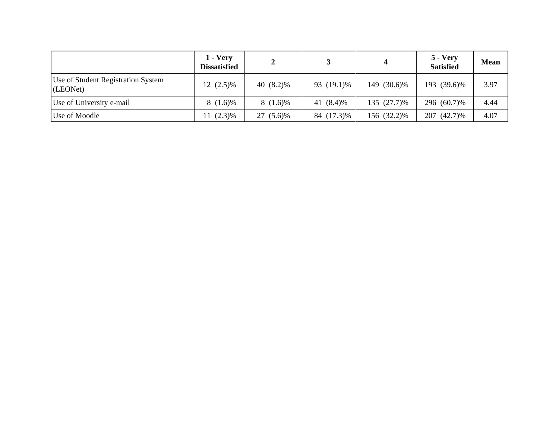|                                                | $1 - V$ ery<br><b>Dissatisfied</b> | 2          |            |             | $5 - Very$<br><b>Satisfied</b> | <b>Mean</b> |
|------------------------------------------------|------------------------------------|------------|------------|-------------|--------------------------------|-------------|
| Use of Student Registration System<br>(LEONet) | $12(2.5)\%$                        | 40 (8.2)%  | 93 (19.1)% | 149 (30.6)% | 193 (39.6)%                    | 3.97        |
| Use of University e-mail                       | $8(1.6)\%$                         | $8(1.6)\%$ | 41 (8.4)%  | 135 (27.7)% | 296 (60.7)%                    | 4.44        |
| Use of Moodle                                  | $11(2.3)\%$                        | 27 (5.6)%  | 84 (17.3)% | 156 (32.2)% | $(42.7)\%$<br>207              | 4.07        |